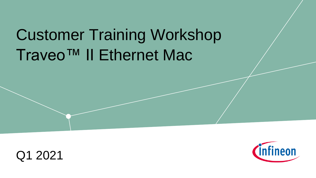# Traveo™ II Ethernet Mac Customer Training Workshop



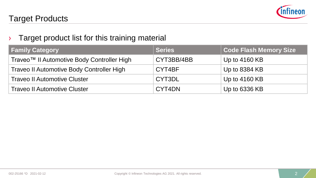

#### Target Products

#### $\rightarrow$  Target product list for this training material

| <b>Family Category</b>                     | <b>Series</b> | <b>Code Flash Memory Size</b> |
|--------------------------------------------|---------------|-------------------------------|
| Traveo™ II Automotive Body Controller High | CYT3BB/4BB    | Up to $4160$ KB               |
| Traveo II Automotive Body Controller High  | CYT4BF        | Up to 8384 KB                 |
| <b>Traveo II Automotive Cluster</b>        | CYT3DL        | Up to $4160$ KB               |
| <b>Traveo II Automotive Cluster</b>        | CYT4DN        | Up to 6336 KB                 |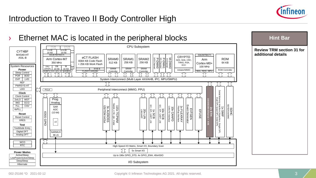

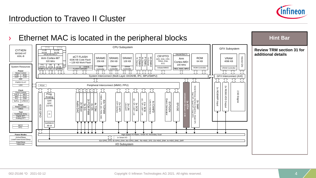

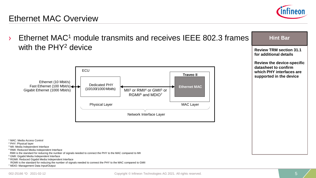

#### Ethernet MAC Overview

- $E$ thernet MAC<sup>1</sup> module transmits and receives IFFF 802.3 frames with the PHY<sup>2</sup> device <sup>1</sup> MAC: Media Access Control <sup>2</sup> PHY: Physical layer <sup>3</sup> MII: Media Independent Interface MII<sup>3</sup> or RMII<sup>4</sup> or GMII<sup>5</sup> or RGMII<sup>6</sup> and MDIO<sup>7</sup> **Hint Bar Review TRM section 31.1 for additional details Review the device-specific datasheet to confirm which PHY interfaces are Example 20 III Supported in the device Traveo II Expedicated PHY Ethernet MAC** (10/100/1000 Mbit/s) Ethernet (10 Mbit/s) **ECU** Physical Layer MAC Layer Network Interface Layer Gigabit Ethernet (1000 Mbit/s) Fast Ethernet (100 Mbit/s)
	- <sup>4</sup> RMII: Reduced Media Independent Interface
	- RMII is the standard for reducing the number of signals needed to connect the PHY to the MAC compared to MII
	- <sup>5</sup> GMII: Gigabit Media Independent Interface
	- <sup>6</sup> RGMII: Reduced Gigabit Media Independent Interface
	- RGMII is the standard for reducing the number of signals needed to connect the PHY to the MAC compared to GMII
	- <sup>7</sup> MDIO: Management Data Input/Output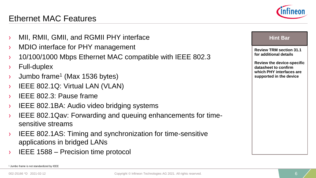- MII, RMII, GMII, and RGMII PHY interface
- MDIO interface for PHY management
- › 10/100/1000 Mbps Ethernet MAC compatible with IEEE 802.3
- › Full-duplex
- $\rightarrow$  Jumbo frame<sup>1</sup> (Max 1536 bytes)
- IEEE 802.1Q: Virtual LAN (VLAN)
- › IEEE 802.3: Pause frame
- › IEEE 802.1BA: Audio video bridging systems
- › IEEE 802.1Qav: Forwarding and queuing enhancements for timesensitive streams
- › IEEE 802.1AS: Timing and synchronization for time-sensitive applications in bridged LANs
- IEEE 1588 Precision time protocol

**Review TRM section 31.1 for additional details**

**Review the device-specific datasheet to confirm which PHY interfaces are supported in the device**

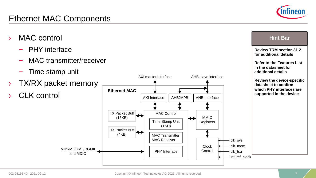#### 002-25166 \*D 2021-02-12

## Ethernet MAC Components

- MAC control
	- PHY interface
	- MAC transmitter/receiver
	- Time stamp unit
- **TX/RX packet memory**
- CLK control





**Hint Bar** 

**Review TRM section 31.2 for additional details**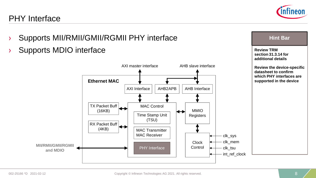## PHY Interface



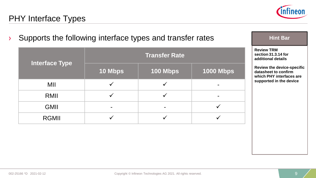

## PHY Interface Types

| Supports the following interface types and transfer rates | <b>Hint Bar</b> |                      |                  |                                                                                       |
|-----------------------------------------------------------|-----------------|----------------------|------------------|---------------------------------------------------------------------------------------|
|                                                           |                 | <b>Transfer Rate</b> |                  | <b>Review TRM</b><br>section 31.3.14 for<br>additional details                        |
| <b>Interface Type</b>                                     | 10 Mbps         | 100 Mbps             | <b>1000 Mbps</b> | <b>Review the device-specific</b><br>datasheet to confirm<br>which PHY interfaces are |
| MII                                                       |                 |                      |                  | supported in the device                                                               |
| RMII                                                      |                 |                      |                  |                                                                                       |
| <b>GMII</b>                                               |                 |                      |                  |                                                                                       |
| <b>RGMII</b>                                              |                 |                      |                  |                                                                                       |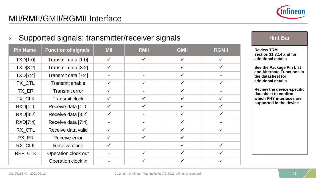

#### Supported signals: transmitter/receiver signals **Hint Bar Review TRM section 31.3.14 and for additional details See the Package Pin List and Alternate Functions in the datasheet for additional details Review the device-specific datasheet to confirm which PHY interfaces are supported in the device Pin Name Function of signals MII RMII GMII RGMII**  $TXD[1:0]$  Transmit data  $[1:0]$   $\checkmark$   $\checkmark$   $\checkmark$   $\checkmark$   $\checkmark$   $\checkmark$ TXD[3:2] Transmit data [3:2]  $\vert \qquad \checkmark \qquad \vert \qquad \qquad \vert \qquad \checkmark \qquad \vert \qquad \checkmark$ TXD[7:4] Transmit data [7:4]  $\vert$  -  $\vert$  -  $\vert$  -  $\vert$   $\vert$   $\vert$  -TX\_CTL Transmit enable  $\checkmark$   $\checkmark$  √  $\checkmark$  √  $\checkmark$ TX\_ER Transmit error  $\vert \quad \checkmark \quad \vert$  -  $\vert \quad \checkmark \quad \vert$  -TX\_CLK Transmit clock  $\checkmark$  √  $\checkmark$  √  $\checkmark$  √ RXD[1:0] Receive data [1:0]  $\checkmark$   $\checkmark$   $\checkmark$   $\checkmark$   $\checkmark$   $\checkmark$ RXD[3:2] Receive data [3:2]  $\checkmark$   $\checkmark$  -  $\checkmark$   $\checkmark$   $\checkmark$  $\mathsf{RXD}[7:4]$  Receive data  $[7:4]$  -  $\Box$  -  $\Box$  -  $\Box$  -RX CTL Receive data valid  $\checkmark$   $\checkmark$   $\checkmark$   $\checkmark$   $\checkmark$   $\checkmark$ RX ER Receive error  $\vert \quad \checkmark \quad \vert \quad \checkmark \quad \vert \quad \checkmark \quad \vert$ RX CLK Receive clock  $\sqrt{2}$   $\sqrt{2}$   $\sqrt{2}$ REF\_CLK  $\begin{array}{c|c|c|c|c|c} \text{Operation clock out} & - & \times & \times & \times \end{array}$ Operation clock in - ✓ ✓ ✓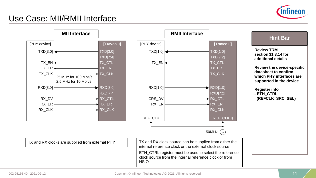

### Use Case: MII/RMII Interface

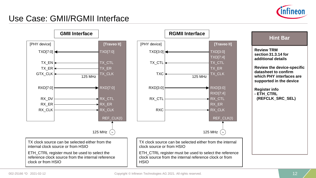

### Use Case: GMII/RGMII Interface

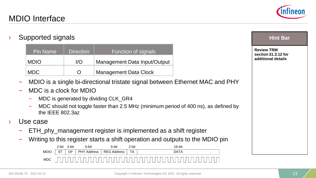

› Supported signals

| <b>Pin Name</b> | <b>Direction</b> | Function of signals          |
|-----------------|------------------|------------------------------|
| <b>MDIO</b>     | I/O              | Management Data Input/Output |
| <b>MDC</b>      | $\left( \right)$ | <b>Management Data Clock</b> |

- MDIO is a single bi-directional tristate signal between Ethernet MAC and PHY
- MDC is a clock for MDIO
	- MDC is generated by dividing CLK\_GR4
	- MDC should not toggle faster than 2.5 MHz (minimum period of 400 ns), as defined by the IEEE 802.3az
- Use case
	- ETH\_phy\_management register is implemented as a shift register
	- Writing to this register starts a shift operation and outputs to the MDIO pin



#### **Hint Bar**

**Review TRM section 31.3.12 for additional details**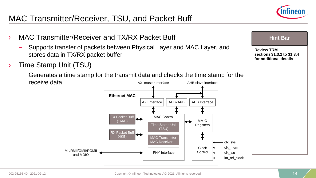### MAC Transmitter/Receiver, TSU, and Packet Buff



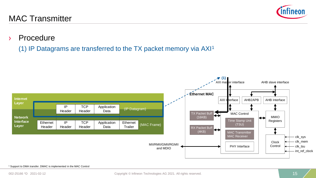#### MAC Transmitter

#### › Procedure

(1) IP Datagrams are transferred to the TX packet memory via AXI<sup>1</sup>



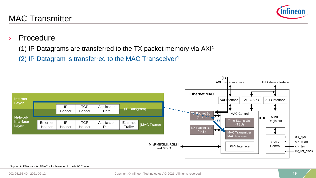#### Copyright © Infineon Technologies AG 2021. All rights reserved. 16

MAC Transmitter

#### › Procedure

- (1) IP Datagrams are transferred to the TX packet memory via  $AXI<sup>1</sup>$
- (2) IP Datagram is transferred to the MAC Transceiver<sup>1</sup>



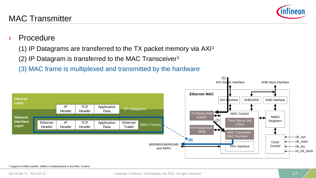#### MAC Transmitter

#### **Procedure**

- (1) IP Datagrams are transferred to the TX packet memory via  $AXI<sup>1</sup>$
- (2) IP Datagram is transferred to the MAC Transceiver<sup>1</sup>
- (3) MAC frame is multiplexed and transmitted by the hardware



(1)

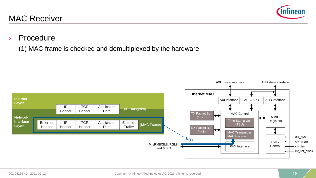#### Copyright © Infineon Technologies AG 2021. All rights reserved. 18 18 18

#### › Procedure

MAC Receiver

(1) MAC frame is checked and demultiplexed by the hardware



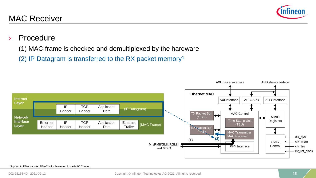

### › Procedure

- (1) MAC frame is checked and demultiplexed by the hardware
- (2) IP Datagram is transferred to the RX packet memory<sup>1</sup>

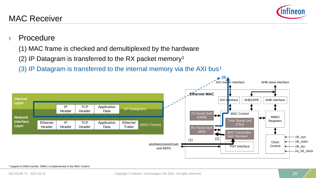#### **Procedure**

- (1) MAC frame is checked and demultiplexed by the hardware
- (2) IP Datagram is transferred to the RX packet memory<sup>1</sup>
- (3) IP Datagram is transferred to the internal memory via the AXI bus<sup>1</sup>

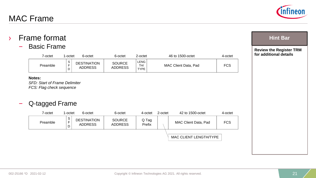## › Frame format

– Basic Frame

| ∕-octet  | -octet                                            | 6-octet                       | 6-octet                         | 2-octet                                 | 46 to 1500-octet     | 4-octet |
|----------|---------------------------------------------------|-------------------------------|---------------------------------|-----------------------------------------|----------------------|---------|
| Preamble | $\sim$<br>১<br>$\overline{\phantom{0}}$<br>-<br>D | DESTINATION<br><b>ADDRESS</b> | <b>SOURCE</b><br><b>ADDRESS</b> | LENG <sup>"</sup><br>TH/<br><b>TYPE</b> | MAC Client Data, Pad | FCS     |

#### **Notes:**

*SFD: Start of Frame Delimiter FCS: Flag check sequence*

#### – Q-tagged Frame

| 7-octet                 | 1-octet | 6-octet                              | 6-octet                         | 4-octet         | 2-octet                | 42 to 1500-octet     | 4-octet    |
|-------------------------|---------|--------------------------------------|---------------------------------|-----------------|------------------------|----------------------|------------|
| S<br>E<br>Preamble<br>D |         | <b>DESTINATION</b><br><b>ADDRESS</b> | <b>SOURCE</b><br><b>ADDRESS</b> | Q Tag<br>Prefix |                        | MAC Client Data, Pad | <b>FCS</b> |
|                         |         |                                      |                                 |                 | MAC CLIENT LENGTH/TYPE |                      |            |





**Hint Bar** 

**Review the Register TRM for additional details**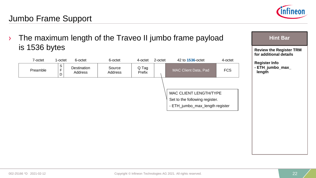

## Jumbo Frame Support

| The maximum length of the Traveo II jumbo frame payload<br>is 1536 bytes |                                      |                        |                   |                 |         |                                                                                             | <b>Hint Bar</b> |                                                          |
|--------------------------------------------------------------------------|--------------------------------------|------------------------|-------------------|-----------------|---------|---------------------------------------------------------------------------------------------|-----------------|----------------------------------------------------------|
|                                                                          |                                      |                        |                   |                 |         |                                                                                             |                 | <b>Review the Register TRM</b><br>for additional details |
| 7-octet                                                                  | 1-octet                              | 6-octet                | 6-octet           | 4-octet         | 2-octet | 42 to <b>1536-octet</b>                                                                     | 4-octet         | <b>Register Info</b>                                     |
| Preamble                                                                 | $\frac{\mathsf{S}}{\mathsf{F}}$<br>D | Destination<br>Address | Source<br>Address | Q Tag<br>Prefix |         | MAC Client Data, Pad                                                                        | <b>FCS</b>      | - ETH_jumbo_max_<br>length                               |
|                                                                          |                                      |                        |                   |                 |         | MAC CLIENT LENGTH/TYPE<br>Set to the following register.<br>- ETH_jumbo_max_length register |                 |                                                          |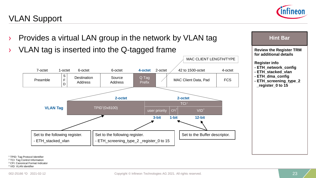## VLAN Support





<sup>1</sup> TPID: Tag Protocol Identifier <sup>2</sup> TCI: Tag Control Information

<sup>3</sup> CFI: Canonical Format Indicator

<sup>4</sup> VID: VLAN identifier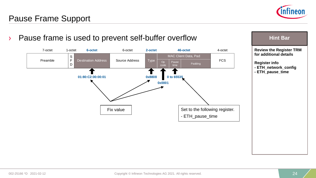

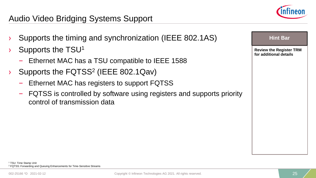

## Audio Video Bridging Systems Support

- › Supports the timing and synchronization (IEEE 802.1AS)
- Supports the TSU<sup>1</sup>
	- Ethernet MAC has a TSU compatible to IEEE 1588
- Supports the  $FQTSS<sup>2</sup>$  (IEEE 802.1Qav)
	- Ethernet MAC has registers to support FQTSS
	- FQTSS is controlled by software using registers and supports priority control of transmission data

**Review the Register TRM for additional details**

**Hint Bar**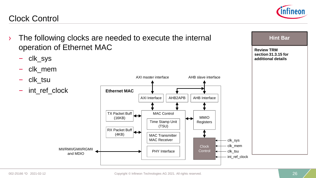

### Clock Control

- › The following clocks are needed to execute the internal operation of Ethernet MAC
	- clk\_sys
	- clk\_mem
	- clk\_tsu
	- int ref clock





**Hint Bar** 

**Review TRM**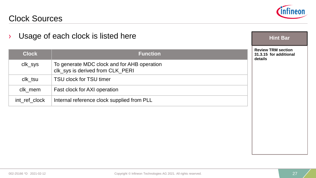

#### Clock Sources

| <b>Clock</b>  | <b>Function</b>                                                                 | <b>Review TRM section</b><br>31.3.15 for additional<br>details |
|---------------|---------------------------------------------------------------------------------|----------------------------------------------------------------|
| clk_sys       | To generate MDC clock and for AHB operation<br>clk_sys is derived from CLK_PERI |                                                                |
| clk_tsu       | TSU clock for TSU timer                                                         |                                                                |
| clk_mem       | Fast clock for AXI operation                                                    |                                                                |
| int_ref_clock | Internal reference clock supplied from PLL                                      |                                                                |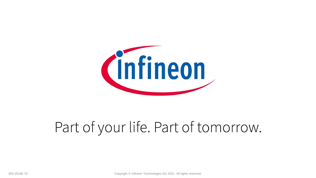

# Part of your life. Part of tomorrow.

002-25166 \*D Copyright © Infineon Technologies AG 2021. All rights reserved. 28